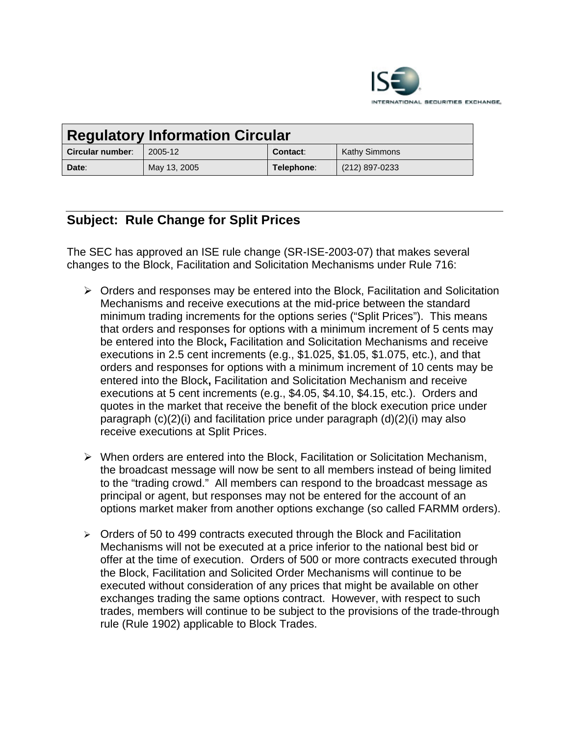

| <b>Regulatory Information Circular</b> |              |            |                      |
|----------------------------------------|--------------|------------|----------------------|
| Circular number:                       | 2005-12      | Contact:   | <b>Kathy Simmons</b> |
| Date:                                  | May 13, 2005 | Telephone: | (212) 897-0233       |

## **Subject: Rule Change for Split Prices**

The SEC has approved an ISE rule change (SR-ISE-2003-07) that makes several changes to the Block, Facilitation and Solicitation Mechanisms under Rule 716:

- $\triangleright$  Orders and responses may be entered into the Block, Facilitation and Solicitation Mechanisms and receive executions at the mid-price between the standard minimum trading increments for the options series ("Split Prices"). This means that orders and responses for options with a minimum increment of 5 cents may be entered into the Block**,** Facilitation and Solicitation Mechanisms and receive executions in 2.5 cent increments (e.g., \$1.025, \$1.05, \$1.075, etc.), and that orders and responses for options with a minimum increment of 10 cents may be entered into the Block**,** Facilitation and Solicitation Mechanism and receive executions at 5 cent increments (e.g., \$4.05, \$4.10, \$4.15, etc.). Orders and quotes in the market that receive the benefit of the block execution price under paragraph (c)(2)(i) and facilitation price under paragraph (d)(2)(i) may also receive executions at Split Prices.
- $\triangleright$  When orders are entered into the Block, Facilitation or Solicitation Mechanism, the broadcast message will now be sent to all members instead of being limited to the "trading crowd." All members can respond to the broadcast message as principal or agent, but responses may not be entered for the account of an options market maker from another options exchange (so called FARMM orders).
- $\triangleright$  Orders of 50 to 499 contracts executed through the Block and Facilitation Mechanisms will not be executed at a price inferior to the national best bid or offer at the time of execution. Orders of 500 or more contracts executed through the Block, Facilitation and Solicited Order Mechanisms will continue to be executed without consideration of any prices that might be available on other exchanges trading the same options contract. However, with respect to such trades, members will continue to be subject to the provisions of the trade-through rule (Rule 1902) applicable to Block Trades.